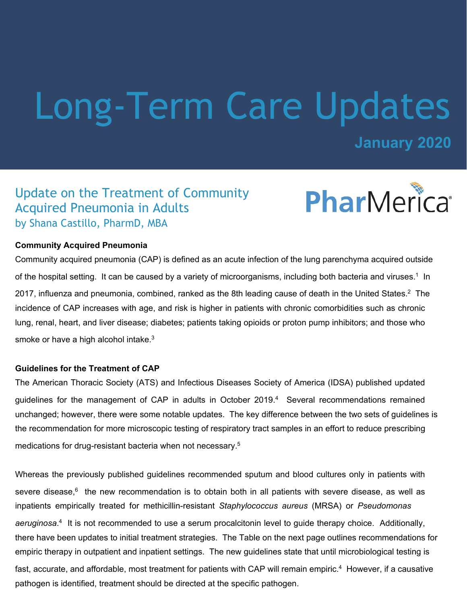# Long-Term Care Updates

**January 2020**

## Update on the Treatment of Community Acquired Pneumonia in Adults by Shana Castillo, PharmD, MBA



## **Community Acquired Pneumonia**

Community acquired pneumonia (CAP) is defined as an acute infection of the lung parenchyma acquired outside of the hospital setting. It can be caused by a variety of microorganisms, including both bacteria and viruses.<sup>1</sup> In 2017, influenza and pneumonia, combined, ranked as the 8th leading cause of death in the United States.<sup>2</sup> The incidence of CAP increases with age, and risk is higher in patients with chronic comorbidities such as chronic lung, renal, heart, and liver disease; diabetes; patients taking opioids or proton pump inhibitors; and those who smoke or have a high alcohol intake.<sup>3</sup>

## **Guidelines for the Treatment of CAP**

The American Thoracic Society (ATS) and Infectious Diseases Society of America (IDSA) published updated guidelines for the management of CAP in adults in October 2019.<sup>4</sup> Several recommendations remained unchanged; however, there were some notable updates. The key difference between the two sets of guidelines is the recommendation for more microscopic testing of respiratory tract samples in an effort to reduce prescribing medications for drug-resistant bacteria when not necessary.<sup>5</sup>

Whereas the previously published guidelines recommended sputum and blood cultures only in patients with severe disease, $^{6}$  the new recommendation is to obtain both in all patients with severe disease, as well as inpatients empirically treated for methicillin-resistant *Staphylococcus aureus* (MRSA) or *Pseudomonas aeruginosa*. 4 It is not recommended to use a serum procalcitonin level to guide therapy choice. Additionally, there have been updates to initial treatment strategies. The Table on the next page outlines recommendations for empiric therapy in outpatient and inpatient settings. The new guidelines state that until microbiological testing is fast, accurate, and affordable, most treatment for patients with CAP will remain empiric. $^4\,$  However, if a causative pathogen is identified, treatment should be directed at the specific pathogen.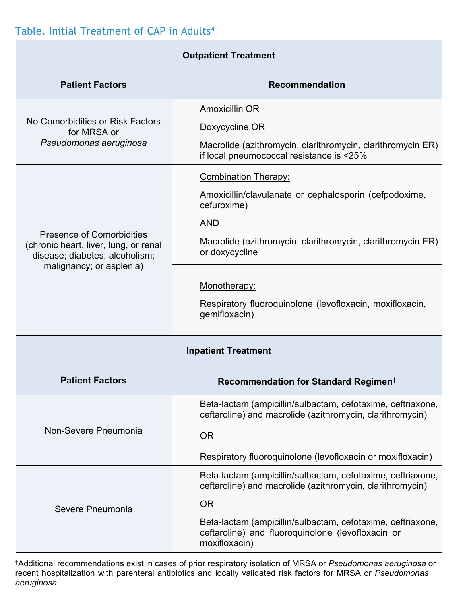## Table. Initial Treatment of CAP in Adults4

| <b>Outpatient Treatment</b>                                                                                                      |                                                                                                                                   |
|----------------------------------------------------------------------------------------------------------------------------------|-----------------------------------------------------------------------------------------------------------------------------------|
| <b>Patient Factors</b>                                                                                                           | <b>Recommendation</b>                                                                                                             |
| No Comorbidities or Risk Factors<br>for MRSA or<br>Pseudomonas aeruginosa                                                        | Amoxicillin OR                                                                                                                    |
|                                                                                                                                  | Doxycycline OR                                                                                                                    |
|                                                                                                                                  | Macrolide (azithromycin, clarithromycin, clarithromycin ER)<br>if local pneumococcal resistance is <25%                           |
| Presence of Comorbidities<br>(chronic heart, liver, lung, or renal<br>disease; diabetes; alcoholism;<br>malignancy; or asplenia) | <b>Combination Therapy:</b>                                                                                                       |
|                                                                                                                                  | Amoxicillin/clavulanate or cephalosporin (cefpodoxime,<br>cefuroxime)                                                             |
|                                                                                                                                  | <b>AND</b>                                                                                                                        |
|                                                                                                                                  | Macrolide (azithromycin, clarithromycin, clarithromycin ER)<br>or doxycycline                                                     |
|                                                                                                                                  |                                                                                                                                   |
|                                                                                                                                  | Monotherapy:                                                                                                                      |
|                                                                                                                                  | Respiratory fluoroquinolone (levofloxacin, moxifloxacin,<br>gemifloxacin)                                                         |
| <b>Inpatient Treatment</b>                                                                                                       |                                                                                                                                   |
| <b>Patient Factors</b>                                                                                                           | Recommendation for Standard Regimen <sup>t</sup>                                                                                  |
| Non-Severe Pneumonia                                                                                                             | Beta-lactam (ampicillin/sulbactam, cefotaxime, ceftriaxone,<br>ceftaroline) and macrolide (azithromycin, clarithromycin)          |
|                                                                                                                                  | <b>OR</b>                                                                                                                         |
|                                                                                                                                  | Respiratory fluoroquinolone (levofloxacin or moxifloxacin)                                                                        |
| Severe Pneumonia                                                                                                                 | Beta-lactam (ampicillin/sulbactam, cefotaxime, ceftriaxone,<br>ceftaroline) and macrolide (azithromycin, clarithromycin)          |
|                                                                                                                                  | <b>OR</b>                                                                                                                         |
|                                                                                                                                  | Beta-lactam (ampicillin/sulbactam, cefotaxime, ceftriaxone,<br>ceftaroline) and fluoroquinolone (levofloxacin or<br>moxifloxacin) |

**†**Additional recommendations exist in cases of prior respiratory isolation of MRSA or *Pseudomonas aeruginosa* or recent hospitalization with parenteral antibiotics and locally validated risk factors for MRSA or *Pseudomonas aeruginosa*.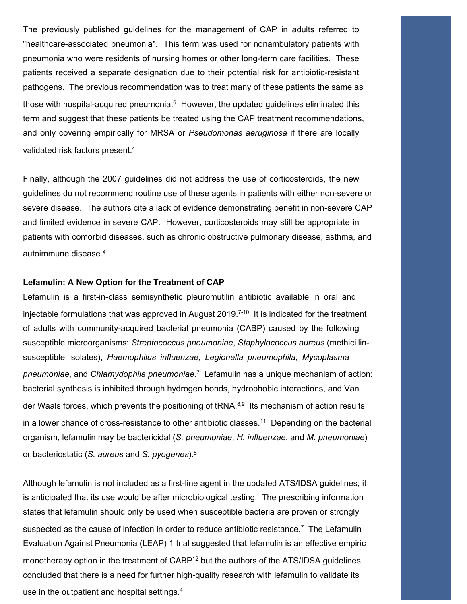The previously published guidelines for the management of CAP in adults referred to "healthcare-associated pneumonia". This term was used for nonambulatory patients with pneumonia who were residents of nursing homes or other long-term care facilities. These patients received a separate designation due to their potential risk for antibiotic-resistant pathogens. The previous recommendation was to treat many of these patients the same as those with hospital-acquired pneumonia. $^6\,$  However, the updated guidelines eliminated this term and suggest that these patients be treated using the CAP treatment recommendations, and only covering empirically for MRSA or *Pseudomonas aeruginosa* if there are locally validated risk factors present.<sup>4</sup>

Finally, although the 2007 guidelines did not address the use of corticosteroids, the new guidelines do not recommend routine use of these agents in patients with either non-severe or severe disease. The authors cite a lack of evidence demonstrating benefit in non-severe CAP and limited evidence in severe CAP. However, corticosteroids may still be appropriate in patients with comorbid diseases, such as chronic obstructive pulmonary disease, asthma, and autoimmune disease.<sup>4</sup>

#### **Lefamulin: A New Option for the Treatment of CAP**

Lefamulin is a first-in-class semisynthetic pleuromutilin antibiotic available in oral and injectable formulations that was approved in August 2019.<sup>7-10</sup> It is indicated for the treatment of adults with community-acquired bacterial pneumonia (CABP) caused by the following susceptible microorganisms: *Streptococcus pneumoniae*, *Staphylococcus aureus* (methicillinsusceptible isolates), *Haemophilus influenzae*, *Legionella pneumophila*, *Mycoplasma pneumoniae*, and *Chlamydophila pneumoniae*. 7 Lefamulin has a unique mechanism of action: bacterial synthesis is inhibited through hydrogen bonds, hydrophobic interactions, and Van der Waals forces, which prevents the positioning of tRNA.<sup>8,9</sup> Its mechanism of action results in a lower chance of cross-resistance to other antibiotic classes.<sup>11</sup> Depending on the bacterial organism, lefamulin may be bactericidal (*S. pneumoniae*, *H. influenzae*, and *M. pneumoniae*) or bacteriostatic (*S. aureus* and *S. pyogenes*).<sup>8</sup>

Although lefamulin is not included as a first-line agent in the updated ATS/IDSA guidelines, it is anticipated that its use would be after microbiological testing. The prescribing information states that lefamulin should only be used when susceptible bacteria are proven or strongly suspected as the cause of infection in order to reduce antibiotic resistance.<sup>7</sup> The Lefamulin Evaluation Against Pneumonia (LEAP) 1 trial suggested that lefamulin is an effective empiric monotherapy option in the treatment of CABP<sup>12</sup> but the authors of the ATS/IDSA guidelines concluded that there is a need for further high-quality research with lefamulin to validate its use in the outpatient and hospital settings.4